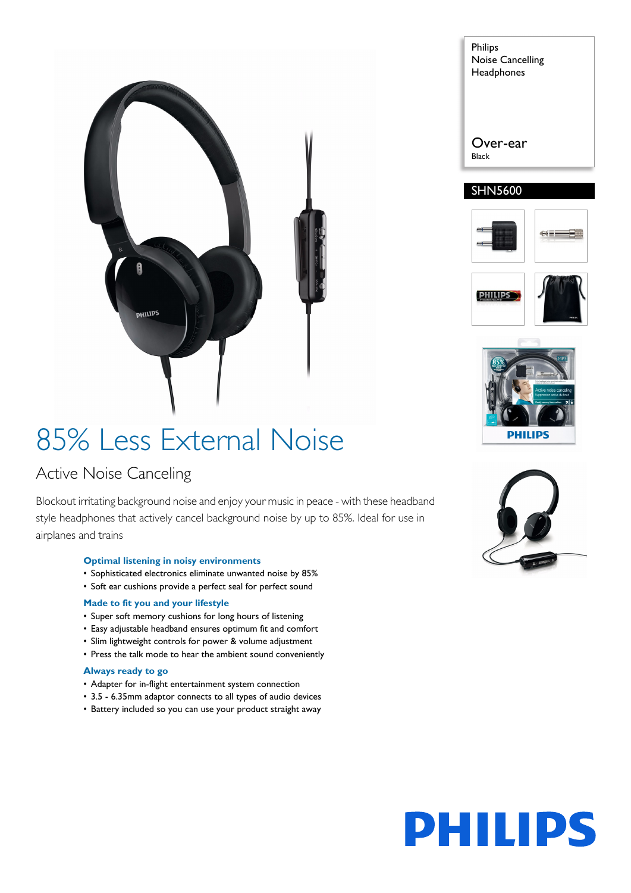

#### Philips Noise Cancelling **Headphones**

Over-ear

Black

#### SHN5600









## 85% Less External Noise

### Active Noise Canceling

Blockout irritating background noise and enjoy your music in peace - with these headband style headphones that actively cancel background noise by up to 85%. Ideal for use in airplanes and trains

#### **Optimal listening in noisy environments**

- Sophisticated electronics eliminate unwanted noise by 85%
- Soft ear cushions provide a perfect seal for perfect sound

#### **Made to fit you and your lifestyle**

- Super soft memory cushions for long hours of listening
- Easy adjustable headband ensures optimum fit and comfort
- Slim lightweight controls for power & volume adjustment
- Press the talk mode to hear the ambient sound conveniently

#### **Always ready to go**

- Adapter for in-flight entertainment system connection
- 3.5 6.35mm adaptor connects to all types of audio devices
- Battery included so you can use your product straight away



# **PHILIPS**